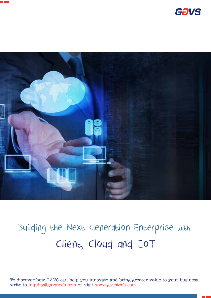





# Building the Next Generation Enterprise with Client, Cloud and IoT

To discover how GAVS can help you innovate and bring greater value to your business, write to inquiry@gavstech.com or visit www.gavstech.com.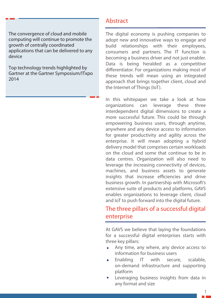The convergence of cloud and mobile computing will continue to promote the growth of centrally coordinated applications that can be delivered to any device

Top technology trends highlighted by Gartner at the Gartner Symposium/ITxpo 2014

# Abstract

The digital economy is pushing companies to adopt new and innovative ways to engage and build relationships with their employees, consumers and partners. The IT function is becoming a business driver and not just enabler. Data is being heralded as a competitive differentiator. For organizations making most of these trends will mean using an integrated approach that brings together client, cloud and the Internet of Things (IoT).

In this whitepaper we take a look at how organizations can leverage these three interdependent digital dimensions to create a more successful future. This could be through empowering business users, through anytime, anywhere and any device access to information for greater productivity and agility across the enterprise. It will mean adopting a hybrid delivery model that comprises certain workloads on the cloud and some that continue to be in data centres. Organization will also need to leverage the increasing connectivity of devices, machines, and business assets to generate insights that increase efficiencies and drive business growth. In partnership with Microsoft's extensive suite of products and platforms, GAVS enables organizations to leverage client, cloud and IoT to push forward into the digital future.

## The three pillars of a successful digital enterprise

At GAVS we believe that laying the foundations for a successful digital enterprises starts with three key pillars:

- Any time, any where, any device access to information for business users
- Enabling IT with secure, scalable, on-demand infrastructure and supporting platform
- Leveraging business insights from data in any format and size

1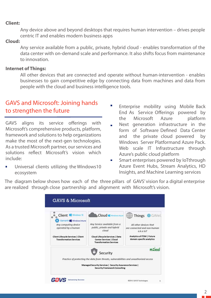#### **Client:**

Any device above and beyond desktops that requires human intervention – drives people centric IT and enables modern business apps

#### **Cloud:**

Any service available from a public, private, hybrid cloud - enables transformation of the data center with on-demand scale and performance. It also shifts focus from maintenance to innovation.

#### **Internet of Things:**

All other devices that are connected and operate without human-intervention - enables businesses to gain competitive edge by connecting data from machines and data from people with the cloud and business intelligence tools.

# GAVS and Microsoft: Joining hands to strengthen the future

GAVS aligns its service offerings with Microsoft's comprehensive products, platform, framework and solutions to help organizations make the most of the next-gen technologies. As a trusted Microsoft partner, our services and solutions reflect Microsoft's vision which include:

Universal clients utilizing the Windows10 ecosystem

- Enterprise mobility using Mobile Back End As Service Offerings powered by the Microsoft Azure platform
- Next generation infrastructure in the  $\blacksquare$ form of Software Defined Data Center and the private cloud powered by Windows Server Platformand Azure Pack. Web scale IT Infrastructure through Azure's public cloud platform
- Smart enterprises powered by IoTthrough  $\overline{\phantom{a}}$ Azure Event Hubs, Stream Analytics, HD Insights, and Machine Learning services

The diagram below shows how each of the three pillars of GAVS' vision for a digital enterprise are realized through close partnership and alignment with Microsoft's vision.

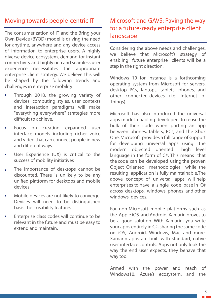# Moving towards people-centric IT

The consumerization of IT and the Bring your Own Device (BYOD) model is driving the need for anytime, anywhere and any device access of information to enterprise users. A highly diverse device ecosystem, demand for instant connectivity and highly rich and seamless user experience necessitates the appropriate enterprise client strategy. We believe this will be shaped by the following trends and challenges in enterprise mobility:

- Through 2018, the growing variety of devices, computing styles, user contexts and interaction paradigms will make "everything everywhere" strategies more difficult to achieve.
- Focus on creating expanded user interface models including richer voice and video that can connect people in new and different ways.
- User Experience (UX) is critical to the success of mobility initiatives
- The importance of desktops cannot be discounted. There is unlikely to be any unified platform for desktops and mobile devices.
- Mobile devices are not likely to converge. Devices will need to be distinguished basis their usability features.
- Enterprise class codes will continue to be relevant in the future and must be easy to extend and maintain.

# Microsoft and GAVS: Paving the way for a future-ready enterprise client landscape

Considering the above needs and challenges, we believe that Microsoft's strategy of enabling future enterprise clients will be a step in the right direction.

Windows 10 for instance is a forthcoming operating system from Microsoft for servers, desktop PCs, laptops, tablets, phones, and other connected-devices (i.e. Internet of Things).

Microsoft has also introduced the universal apps model, enabling developers to reuse the bulk of their code when porting an app between phones, tablets, PCs, and the Xbox One. Microsoft provides a full range of support for developing universal apps using the modern objected oriented high level language in the form of C#. This means that the code can be developed using the proven Object Oriented methodologies while the resulting application is fully maintainable.The above concept of universal apps will help enterprises to have a single code base in C# across desktops, windows phones and other windows devices.

For non-Microsoft mobile platforms such as the Apple iOS and Android, Xamarin proves to be a good solution. With Xamarin, you write your apps entirely in C#, sharing the same code on iOS, Android, Windows, Mac and more. Xamarin apps are built with standard, native user interface controls. Apps not only look the way the end user expects, they behave that way too.

Armed with the power and reach of Windows10, Azure's ecosystem, and the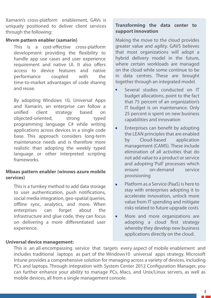Xamarin's cross-platform enablement, GAVs is uniquely positioned to deliver client services through the following:

#### **Mvvm pattern enabler (xamarin)**

This is a cost-effective cross-platform development providing the flexibility to handle app use cases and user experience requirement and native UI. It also offers access to device features and native performance coupled with the time-to-market advantages of code sharing and reuse.

By adopting Windows 10, Universal Apps and Xamarin, an enterprise can follow a unified client strategy based on objected-oriented, strong typed programming language C# while writing applications across devices in a single code base. This approach considers long-term maintenance needs and is therefore more realistic than adopting the weekly typed language or other interpreted scripting frameworks.

#### **Mbaas pattern enabler (winows azure mobile services)**

This is a turnkey method to add data storage to user authentication, push notifications, social media integration, geo-spatial queries, offline sync, analytics, and more. When enterprises can forget about the infrastructure and glue code, they can focus on delivering a more differentiated user experience.

#### **Universal device management:**

### **Transforming the data center to support innovation**

Making the move to the cloud provides greater value and agility. GAVS believes that most organizations will adopt a hybrid delivery model in the future, where certain workloads are managed on the cloud while some continue to be in data centres. These are brought together through an integrated model.

- Several studies conducted on IT  $\blacksquare$ budget allocations, point to the fact that 75 percent of an organization's IT budget is on maintenance. Only 25 percent is spent on new business capabilities and innovation
- Enterprises can benefit by adopting the LEAN principles that are enabled by Cloud-based application management (CAMS). These include elimination of all activities that do not add value to a product or service and adopting 'Pull' processes which ensure on-demand service provisioning
- Platform as a Service (PaaS) is here to  $\blacksquare$ stay with enterprises adopting it to accelerate innovation, unlock more value from IT spending and mitigate risks related to future upgrade costs
- More and more organizations are  $\blacksquare$ adopting a cloud first strategy whereby they develop new business applications directly on the cloud.

This is an all-encompassing service that targets every aspect of mobile enablement and includes traditional laptops as part of the Windows10 universal apps strategy. Microsoft Intune provides a comprehensive solution for managing across a variety of devices, including PCs and laptops. Through integration with System Center 2012 Configuration Manager, you can further enhance your ability to manage PCs, Macs, and Unix/Linux servers, as well as mobile devices, all from a single management console.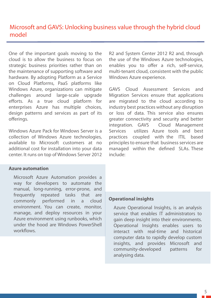One of the important goals moving to the cloud is to allow the business to focus on strategic business priorities rather than on the maintenance of supporting software and hardware. By adopting Platform as a Service on Cloud Platforms, PaaS platforms like Windows Azure, organizations can mitigate challenges around large-scale upgrade efforts. As a true cloud platform for enterprises Azure has multiple choices, design patterns and services as part of its offerings.

Windows Azure Pack for Windows Server is a collection of Windows Azure technologies, available to Microsoft customers at no additional cost for installation into your data center. It runs on top of Windows Server 2012

#### **Azure automation**

Microsoft Azure Automation provides a way for developers to automate the manual, long-running, error-prone, and frequently repeated tasks that are commonly performed in a cloud environment. You can create, monitor, manage, and deploy resources in your Azure environment using runbooks, which under the hood are Windows PowerShell workflows

R2 and System Center 2012 R2 and, through the use of the Windows Azure technologies, enables you to offer a rich, self-service, multi-tenant cloud, consistent with the public Windows Azure experience.

GAVS Cloud Assessment Services and Migration Services ensure that applications are migrated to the cloud according to industry best practices without any disruption or loss of data. This service also ensures greater connectivity and security and better integration. GAVS Cloud Management Services utilizes Azure tools and best practices coupled with the ITIL based principles to ensure that business services are managed within the defined SLAs. These include:

#### **Operational insights**

Azure Operational Insights, is an analysis service that enables IT administrators to gain deep insight into their environments. Operational Insights enables users to interact with real-time and historical computer data to rapidly develop custom insights, and provides Microsoft and community-developed patterns for analysing data.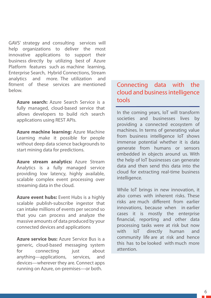GAVS' strategy and consulting services will help organizations to deliver the most innovative applications to support their business directly by utilizing best of Azure Platform features such as machine learning, Enterprise Search, Hybrid Connections, Stream analytics and more. The utilization and fitment of these services are mentioned below.

**Azure search:** Azure Search Service is a fully managed, cloud-based service that allows developers to build rich search applications using REST APIs.

**Azure machine learning:** Azure Machine Learning make it possible for people without deep data science backgrounds to start mining data for predictions.

**Azure stream analytics:** Azure Stream Analytics is a fully managed service providing low latency, highly available, scalable complex event processing over streaming data in the cloud.

**Azure event hubs:** Event Hubs is a highly scalable publish-subscribe ingestor that can intake millions of events per second so that you can process and analyze the massive amounts of data produced by your connected devices and applications

**Azure service bus:** Azure Service Bus is a generic, cloud-based messaging system for connecting just about anything—applications, services, and devices—wherever they are. Connect apps running on Azure, on-premises—or both.

# Connecting data with the cloud and business intelligence tools

In the coming years, IoT will transform societies and businesses lives by providing a connected ecosystem of machines. In terms of generating value from business intelligence IoT shows immense potential whether it is data generate from humans or sensors embedded in objects around us. With the help of IoT businesses can generate data and then send this data into the cloud for extracting real-time business intelligence.

While IoT brings in new innovation, it also comes with inherent risks. These risks are much different from earlier innovations, because when in earlier cases it is mostly the enterprise financial, reporting and other data processing tasks were at risk but now with IoT directly human and community life are at risk and hence this has to be looked with much more attention.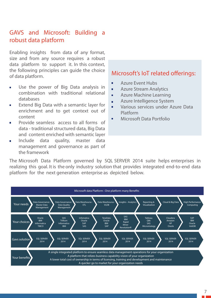# GAVS and Microsoft: Building a robust data platform

Enabling insights from data of any format, size and from any source requires a robust data platform to support it. In this context, the following principles can guide the choice of data platform.

- Use the power of Big Data analysis in combination with traditional relational databases
- Extend Big Data with a semantic layer for  $\blacksquare$ enrichment and to get context out of content
- Provide seamless access to all forms of  $\blacksquare$ data - traditional structured data, Big Data and content enriched with semantic layer
- Include data quality, master data Ħ management and governance as part of the framework

- É Azure Event Hubs
- Azure Stream Analytics H
- Azure Machine Learning  $\blacksquare$
- Azure Intelligence System  $\blacksquare$
- $\blacksquare$ Various services under Azure Data Platform
- Microsoft Data Portfolio

The Microsoft Data Platform governed by SQL SERVER 2014 suite helps enterprises in realizing this goal. It is the only industry solution that provides integrated end-to-end data platform for the next generation enterprise as depicted below.

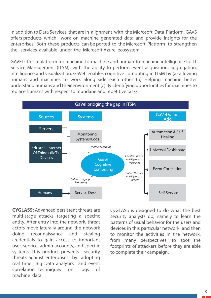In addition to Data Services that are in alignment with the Microsoft Data Platform, GAVS offers products which work on machine generated data and provide insights for the enterprises. Both these products can be ported to the Microsoft Platform to strengthen the services available under the Microsoft Azure ecosystem.

GAVEL: This a platform for machine-to-machine and human-to-machine intelligence for IT Service Management (ITSM), with the ability to perform event acquisition, aggregation, intelligence and visualization. GaVeL enables cognitive computing in ITSM by (a) allowing humans and machines to work along side each other (b) Helping machine better understand humans and their environment (c) By identifying opportunities for machines to replace humans with respect to mundane and repetitive tasks



**CYGLASS:** Advanced persistent threats are multi-stage attacks targeting a specific entity. After entry into the network, threat actors move laterally around the network doing reconnaissance and stealing credentials to gain access to important user, service, admin accounts, and specific systems. This product prevents security threats against enterprises by adopting real time Big Data analytics and event correlation techniques on logs of machine data.

CyGLASS is designed to do what the best security analysts do, namely to learn the patterns of usual behavior for the users and devices in this particular network, and then to monitor the activities in the network, from many perspectives, to spot the footprints of attackers before they are able to complete their campaign.